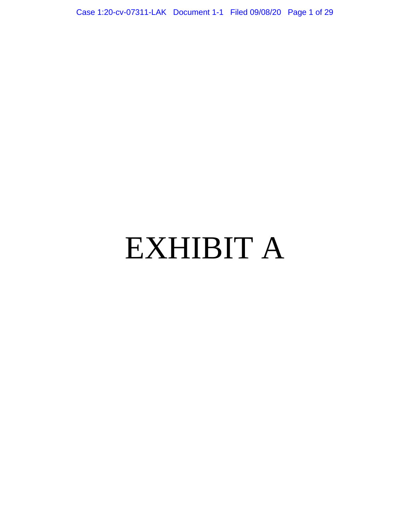Case 1:20-cv-07311-LAK Document 1-1 Filed 09/08/20 Page 1 of 29

# EXHIBIT A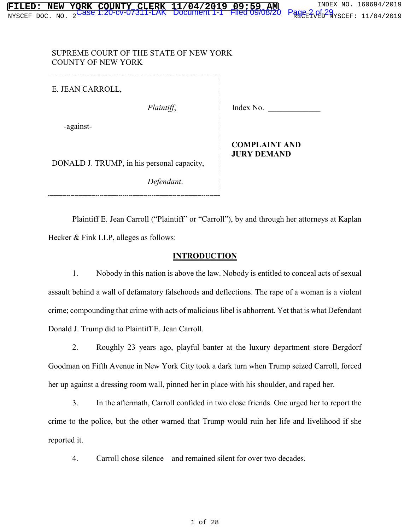### SUPREME COURT OF THE STATE OF NEW YORK COUNTY OF NEW YORK

E. JEAN CARROLL,

-against-

*Plaintiff*, Index No.

**COMPLAINT AND JURY DEMAND**

DONALD J. TRUMP, in his personal capacity,

*Defendant*.

Plaintiff E. Jean Carroll ("Plaintiff" or "Carroll"), by and through her attorneys at Kaplan Hecker & Fink LLP, alleges as follows:

# **INTRODUCTION**

1. Nobody in this nation is above the law. Nobody is entitled to conceal acts of sexual assault behind a wall of defamatory falsehoods and deflections. The rape of a woman is a violent crime; compounding that crime with acts of malicious libel is abhorrent. Yet that is what Defendant Donald J. Trump did to Plaintiff E. Jean Carroll.

2. Roughly 23 years ago, playful banter at the luxury department store Bergdorf Goodman on Fifth Avenue in New York City took a dark turn when Trump seized Carroll, forced her up against a dressing room wall, pinned her in place with his shoulder, and raped her.

3. In the aftermath, Carroll confided in two close friends. One urged her to report the crime to the police, but the other warned that Trump would ruin her life and livelihood if she reported it.

4. Carroll chose silence—and remained silent for over two decades.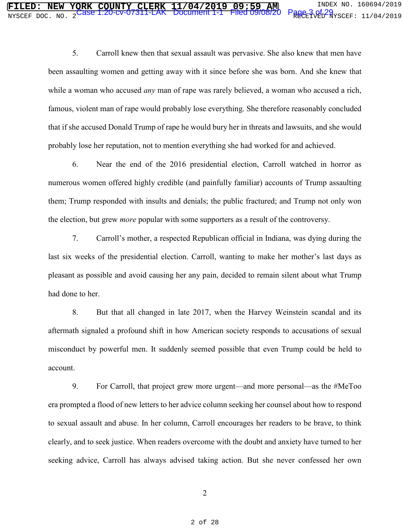5. Carroll knew then that sexual assault was pervasive. She also knew that men have been assaulting women and getting away with it since before she was born. And she knew that while a woman who accused *any* man of rape was rarely believed, a woman who accused a rich, famous, violent man of rape would probably lose everything. She therefore reasonably concluded that if she accused Donald Trump of rape he would bury her in threats and lawsuits, and she would probably lose her reputation, not to mention everything she had worked for and achieved.

6. Near the end of the 2016 presidential election, Carroll watched in horror as numerous women offered highly credible (and painfully familiar) accounts of Trump assaulting them; Trump responded with insults and denials; the public fractured; and Trump not only won the election, but grew *more* popular with some supporters as a result of the controversy.

7. Carroll's mother, a respected Republican official in Indiana, was dying during the last six weeks of the presidential election. Carroll, wanting to make her mother's last days as pleasant as possible and avoid causing her any pain, decided to remain silent about what Trump had done to her.

8. But that all changed in late 2017, when the Harvey Weinstein scandal and its aftermath signaled a profound shift in how American society responds to accusations of sexual misconduct by powerful men. It suddenly seemed possible that even Trump could be held to account.

9. For Carroll, that project grew more urgent—and more personal—as the #MeToo era prompted a flood of new letters to her advice column seeking her counsel about how to respond to sexual assault and abuse. In her column, Carroll encourages her readers to be brave, to think clearly, and to seek justice. When readers overcome with the doubt and anxiety have turned to her seeking advice, Carroll has always advised taking action. But she never confessed her own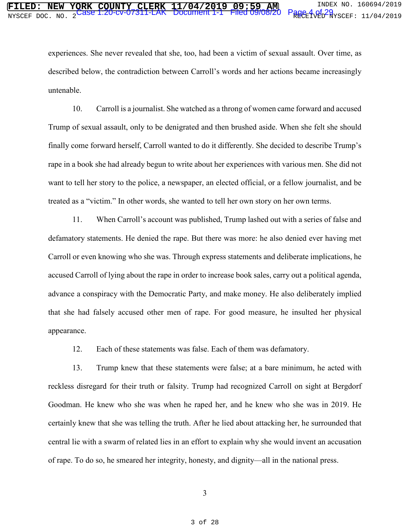experiences. She never revealed that she, too, had been a victim of sexual assault. Over time, as described below, the contradiction between Carroll's words and her actions became increasingly untenable.

10. Carroll is a journalist. She watched as a throng of women came forward and accused Trump of sexual assault, only to be denigrated and then brushed aside. When she felt she should finally come forward herself, Carroll wanted to do it differently. She decided to describe Trump's rape in a book she had already begun to write about her experiences with various men. She did not want to tell her story to the police, a newspaper, an elected official, or a fellow journalist, and be treated as a "victim." In other words, she wanted to tell her own story on her own terms.

11. When Carroll's account was published, Trump lashed out with a series of false and defamatory statements. He denied the rape. But there was more: he also denied ever having met Carroll or even knowing who she was. Through express statements and deliberate implications, he accused Carroll of lying about the rape in order to increase book sales, carry out a political agenda, advance a conspiracy with the Democratic Party, and make money. He also deliberately implied that she had falsely accused other men of rape. For good measure, he insulted her physical appearance.

12. Each of these statements was false. Each of them was defamatory.

13. Trump knew that these statements were false; at a bare minimum, he acted with reckless disregard for their truth or falsity. Trump had recognized Carroll on sight at Bergdorf Goodman. He knew who she was when he raped her, and he knew who she was in 2019. He certainly knew that she was telling the truth. After he lied about attacking her, he surrounded that central lie with a swarm of related lies in an effort to explain why she would invent an accusation of rape. To do so, he smeared her integrity, honesty, and dignity—all in the national press.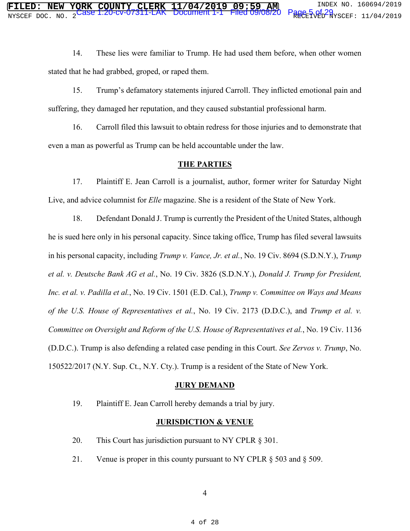14. These lies were familiar to Trump. He had used them before, when other women stated that he had grabbed, groped, or raped them.

15. Trump's defamatory statements injured Carroll. They inflicted emotional pain and suffering, they damaged her reputation, and they caused substantial professional harm.

16. Carroll filed this lawsuit to obtain redress for those injuries and to demonstrate that even a man as powerful as Trump can be held accountable under the law.

#### **THE PARTIES**

17. Plaintiff E. Jean Carroll is a journalist, author, former writer for Saturday Night Live, and advice columnist for *Elle* magazine. She is a resident of the State of New York.

18. Defendant Donald J. Trump is currently the President of the United States, although he is sued here only in his personal capacity. Since taking office, Trump has filed several lawsuits in his personal capacity, including *Trump v. Vance, Jr. et al.*, No. 19 Civ. 8694 (S.D.N.Y.), *Trump et al. v. Deutsche Bank AG et al.*, No. 19 Civ. 3826 (S.D.N.Y.), *Donald J. Trump for President, Inc. et al. v. Padilla et al.*, No. 19 Civ. 1501 (E.D. Cal.), *Trump v. Committee on Ways and Means of the U.S. House of Representatives et al.*, No. 19 Civ. 2173 (D.D.C.), and *Trump et al. v. Committee on Oversight and Reform of the U.S. House of Representatives et al.*, No. 19 Civ. 1136 (D.D.C.). Trump is also defending a related case pending in this Court. *See Zervos v. Trump*, No. 150522/2017 (N.Y. Sup. Ct., N.Y. Cty.). Trump is a resident of the State of New York.

#### **JURY DEMAND**

19. Plaintiff E. Jean Carroll hereby demands a trial by jury.

# **JURISDICTION & VENUE**

- 20. This Court has jurisdiction pursuant to NY CPLR  $\S 301$ .
- 21. Venue is proper in this county pursuant to NY CPLR § 503 and § 509.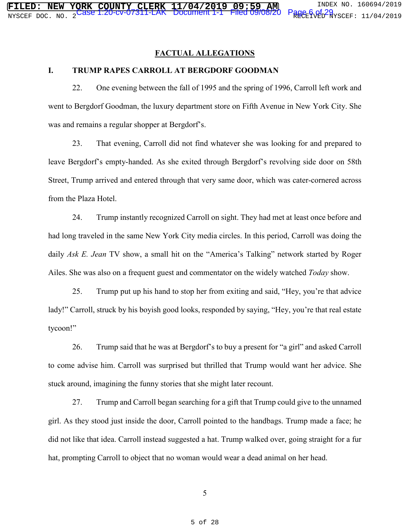#### **FACTUAL ALLEGATIONS**

#### **I. TRUMP RAPES CARROLL AT BERGDORF GOODMAN**

22. One evening between the fall of 1995 and the spring of 1996, Carroll left work and went to Bergdorf Goodman, the luxury department store on Fifth Avenue in New York City. She was and remains a regular shopper at Bergdorf's.

23. That evening, Carroll did not find whatever she was looking for and prepared to leave Bergdorf's empty-handed. As she exited through Bergdorf's revolving side door on 58th Street, Trump arrived and entered through that very same door, which was cater-cornered across from the Plaza Hotel.

24. Trump instantly recognized Carroll on sight. They had met at least once before and had long traveled in the same New York City media circles. In this period, Carroll was doing the daily *Ask E. Jean* TV show, a small hit on the "America's Talking" network started by Roger Ailes. She was also on a frequent guest and commentator on the widely watched *Today* show.

25. Trump put up his hand to stop her from exiting and said, "Hey, you're that advice lady!" Carroll, struck by his boyish good looks, responded by saying, "Hey, you're that real estate tycoon!"

26. Trump said that he was at Bergdorf's to buy a present for "a girl" and asked Carroll to come advise him. Carroll was surprised but thrilled that Trump would want her advice. She stuck around, imagining the funny stories that she might later recount.

27. Trump and Carroll began searching for a gift that Trump could give to the unnamed girl. As they stood just inside the door, Carroll pointed to the handbags. Trump made a face; he did not like that idea. Carroll instead suggested a hat. Trump walked over, going straight for a fur hat, prompting Carroll to object that no woman would wear a dead animal on her head.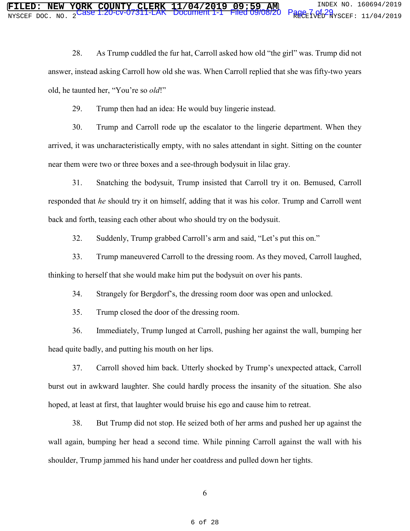28. As Trump cuddled the fur hat, Carroll asked how old "the girl" was. Trump did not answer, instead asking Carroll how old she was. When Carroll replied that she was fifty-two years old, he taunted her, "You're so *old*!"

29. Trump then had an idea: He would buy lingerie instead.

30. Trump and Carroll rode up the escalator to the lingerie department. When they arrived, it was uncharacteristically empty, with no sales attendant in sight. Sitting on the counter near them were two or three boxes and a see-through bodysuit in lilac gray.

31. Snatching the bodysuit, Trump insisted that Carroll try it on. Bemused, Carroll responded that *he* should try it on himself, adding that it was his color. Trump and Carroll went back and forth, teasing each other about who should try on the bodysuit.

32. Suddenly, Trump grabbed Carroll's arm and said, "Let's put this on."

33. Trump maneuvered Carroll to the dressing room. As they moved, Carroll laughed, thinking to herself that she would make him put the bodysuit on over his pants.

34. Strangely for Bergdorf's, the dressing room door was open and unlocked.

35. Trump closed the door of the dressing room.

36. Immediately, Trump lunged at Carroll, pushing her against the wall, bumping her head quite badly, and putting his mouth on her lips.

37. Carroll shoved him back. Utterly shocked by Trump's unexpected attack, Carroll burst out in awkward laughter. She could hardly process the insanity of the situation. She also hoped, at least at first, that laughter would bruise his ego and cause him to retreat.

38. But Trump did not stop. He seized both of her arms and pushed her up against the wall again, bumping her head a second time. While pinning Carroll against the wall with his shoulder, Trump jammed his hand under her coatdress and pulled down her tights.

6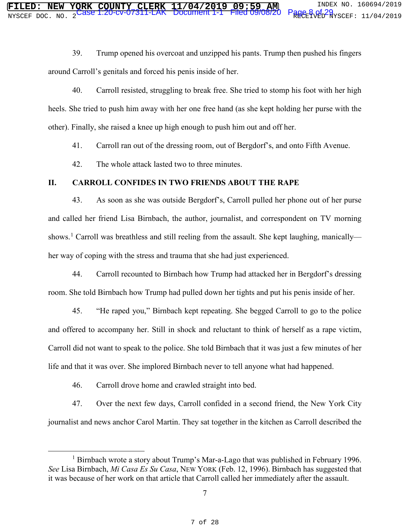39. Trump opened his overcoat and unzipped his pants. Trump then pushed his fingers around Carroll's genitals and forced his penis inside of her.

40. Carroll resisted, struggling to break free. She tried to stomp his foot with her high heels. She tried to push him away with her one free hand (as she kept holding her purse with the other). Finally, she raised a knee up high enough to push him out and off her.

41. Carroll ran out of the dressing room, out of Bergdorf's, and onto Fifth Avenue.

42. The whole attack lasted two to three minutes.

# **II. CARROLL CONFIDES IN TWO FRIENDS ABOUT THE RAPE**

43. As soon as she was outside Bergdorf's, Carroll pulled her phone out of her purse and called her friend Lisa Birnbach, the author, journalist, and correspondent on TV morning shows.<sup>1</sup> Carroll was breathless and still reeling from the assault. She kept laughing, manically her way of coping with the stress and trauma that she had just experienced.

44. Carroll recounted to Birnbach how Trump had attacked her in Bergdorf's dressing room. She told Birnbach how Trump had pulled down her tights and put his penis inside of her.

45. "He raped you," Birnbach kept repeating. She begged Carroll to go to the police and offered to accompany her. Still in shock and reluctant to think of herself as a rape victim, Carroll did not want to speak to the police. She told Birnbach that it was just a few minutes of her life and that it was over. She implored Birnbach never to tell anyone what had happened.

46. Carroll drove home and crawled straight into bed.

47. Over the next few days, Carroll confided in a second friend, the New York City journalist and news anchor Carol Martin. They sat together in the kitchen as Carroll described the

<sup>1&</sup>lt;sup>1</sup> <sup>1</sup> Birnbach wrote a story about Trump's Mar-a-Lago that was published in February 1996. *See* Lisa Birnbach, *Mi Casa Es Su Casa*, NEW YORK (Feb. 12, 1996). Birnbach has suggested that it was because of her work on that article that Carroll called her immediately after the assault.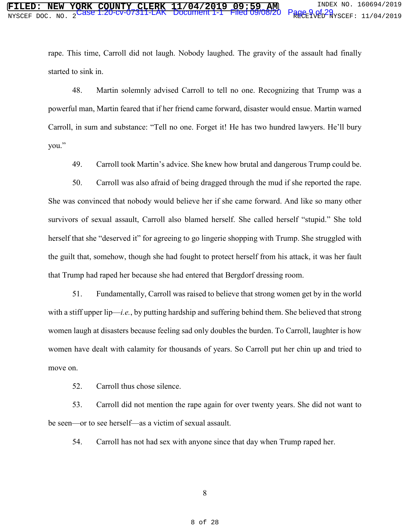rape. This time, Carroll did not laugh. Nobody laughed. The gravity of the assault had finally started to sink in.

48. Martin solemnly advised Carroll to tell no one. Recognizing that Trump was a powerful man, Martin feared that if her friend came forward, disaster would ensue. Martin warned Carroll, in sum and substance: "Tell no one. Forget it! He has two hundred lawyers. He'll bury you."

49. Carroll took Martin's advice. She knew how brutal and dangerous Trump could be.

50. Carroll was also afraid of being dragged through the mud if she reported the rape. She was convinced that nobody would believe her if she came forward. And like so many other survivors of sexual assault, Carroll also blamed herself. She called herself "stupid." She told herself that she "deserved it" for agreeing to go lingerie shopping with Trump. She struggled with the guilt that, somehow, though she had fought to protect herself from his attack, it was her fault that Trump had raped her because she had entered that Bergdorf dressing room.

51. Fundamentally, Carroll was raised to believe that strong women get by in the world with a stiff upper lip—*i.e.*, by putting hardship and suffering behind them. She believed that strong women laugh at disasters because feeling sad only doubles the burden. To Carroll, laughter is how women have dealt with calamity for thousands of years. So Carroll put her chin up and tried to move on.

52. Carroll thus chose silence.

53. Carroll did not mention the rape again for over twenty years. She did not want to be seen—or to see herself—as a victim of sexual assault.

54. Carroll has not had sex with anyone since that day when Trump raped her.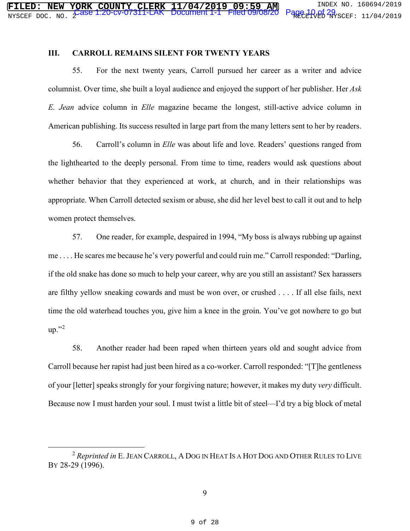#### **III. CARROLL REMAINS SILENT FOR TWENTY YEARS**

55. For the next twenty years, Carroll pursued her career as a writer and advice columnist. Over time, she built a loyal audience and enjoyed the support of her publisher. Her *Ask E. Jean* advice column in *Elle* magazine became the longest, still-active advice column in American publishing. Its success resulted in large part from the many letters sent to her by readers.

56. Carroll's column in *Elle* was about life and love. Readers' questions ranged from the lighthearted to the deeply personal. From time to time, readers would ask questions about whether behavior that they experienced at work, at church, and in their relationships was appropriate. When Carroll detected sexism or abuse, she did her level best to call it out and to help women protect themselves.

57. One reader, for example, despaired in 1994, "My boss is always rubbing up against me . . . . He scares me because he's very powerful and could ruin me." Carroll responded: "Darling, if the old snake has done so much to help your career, why are you still an assistant? Sex harassers are filthy yellow sneaking cowards and must be won over, or crushed . . . . If all else fails, next time the old waterhead touches you, give him a knee in the groin. You've got nowhere to go but  $up.$ "2

58. Another reader had been raped when thirteen years old and sought advice from Carroll because her rapist had just been hired as a co-worker. Carroll responded: "[T]he gentleness of your [letter] speaks strongly for your forgiving nature; however, it makes my duty *very* difficult. Because now I must harden your soul. I must twist a little bit of steel—I'd try a big block of metal

 <sup>2</sup> *Reprinted in* E.JEAN CARROLL, A DOG IN HEAT IS A HOT DOG AND OTHER RULES TO LIVE BY 28-29 (1996).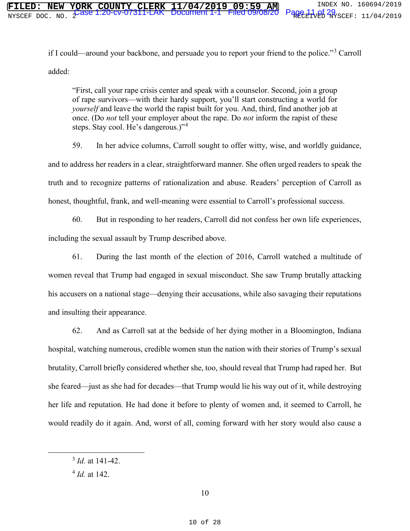if I could—around your backbone, and persuade you to report your friend to the police."<sup>3</sup> Carroll added:

"First, call your rape crisis center and speak with a counselor. Second, join a group of rape survivors—with their hardy support, you'll start constructing a world for *yourself* and leave the world the rapist built for you. And, third, find another job at once. (Do *not* tell your employer about the rape. Do *not* inform the rapist of these steps. Stay cool. He's dangerous.)"<sup>4</sup>

59. In her advice columns, Carroll sought to offer witty, wise, and worldly guidance, and to address her readers in a clear, straightforward manner. She often urged readers to speak the truth and to recognize patterns of rationalization and abuse. Readers' perception of Carroll as honest, thoughtful, frank, and well-meaning were essential to Carroll's professional success.

60. But in responding to her readers, Carroll did not confess her own life experiences, including the sexual assault by Trump described above.

61. During the last month of the election of 2016, Carroll watched a multitude of women reveal that Trump had engaged in sexual misconduct. She saw Trump brutally attacking his accusers on a national stage—denying their accusations, while also savaging their reputations and insulting their appearance.

62. And as Carroll sat at the bedside of her dying mother in a Bloomington, Indiana hospital, watching numerous, credible women stun the nation with their stories of Trump's sexual brutality, Carroll briefly considered whether she, too, should reveal that Trump had raped her. But she feared—just as she had for decades—that Trump would lie his way out of it, while destroying her life and reputation. He had done it before to plenty of women and, it seemed to Carroll, he would readily do it again. And, worst of all, coming forward with her story would also cause a

 <sup>3</sup> *Id.* at 141-42.

<sup>4</sup> *Id.* at 142.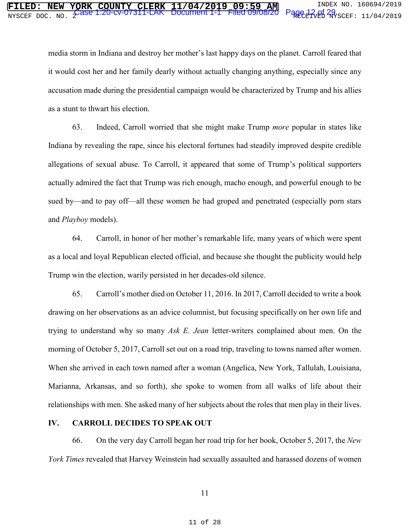media storm in Indiana and destroy her mother's last happy days on the planet. Carroll feared that it would cost her and her family dearly without actually changing anything, especially since any accusation made during the presidential campaign would be characterized by Trump and his allies as a stunt to thwart his election.

63. Indeed, Carroll worried that she might make Trump *more* popular in states like Indiana by revealing the rape, since his electoral fortunes had steadily improved despite credible allegations of sexual abuse. To Carroll, it appeared that some of Trump's political supporters actually admired the fact that Trump was rich enough, macho enough, and powerful enough to be sued by—and to pay off—all these women he had groped and penetrated (especially porn stars and *Playboy* models).

64. Carroll, in honor of her mother's remarkable life, many years of which were spent as a local and loyal Republican elected official, and because she thought the publicity would help Trump win the election, warily persisted in her decades-old silence.

65. Carroll's mother died on October 11, 2016. In 2017, Carroll decided to write a book drawing on her observations as an advice columnist, but focusing specifically on her own life and trying to understand why so many *Ask E. Jean* letter-writers complained about men. On the morning of October 5, 2017, Carroll set out on a road trip, traveling to towns named after women. When she arrived in each town named after a woman (Angelica, New York, Tallulah, Louisiana, Marianna, Arkansas, and so forth), she spoke to women from all walks of life about their relationships with men. She asked many of her subjects about the roles that men play in their lives.

#### **IV. CARROLL DECIDES TO SPEAK OUT**

66. On the very day Carroll began her road trip for her book, October 5, 2017, the *New York Times* revealed that Harvey Weinstein had sexually assaulted and harassed dozens of women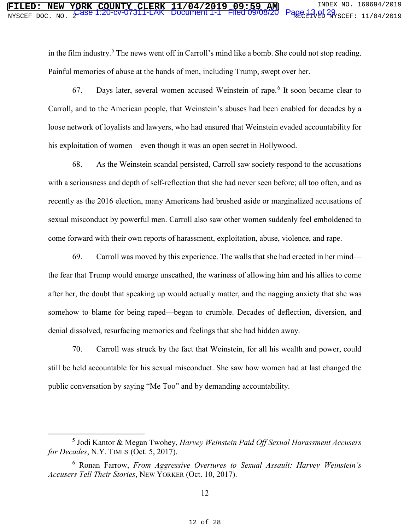in the film industry.<sup>5</sup> The news went off in Carroll's mind like a bomb. She could not stop reading. Painful memories of abuse at the hands of men, including Trump, swept over her.

67. Days later, several women accused Weinstein of rape.<sup>6</sup> It soon became clear to Carroll, and to the American people, that Weinstein's abuses had been enabled for decades by a loose network of loyalists and lawyers, who had ensured that Weinstein evaded accountability for his exploitation of women—even though it was an open secret in Hollywood.

68. As the Weinstein scandal persisted, Carroll saw society respond to the accusations with a seriousness and depth of self-reflection that she had never seen before; all too often, and as recently as the 2016 election, many Americans had brushed aside or marginalized accusations of sexual misconduct by powerful men. Carroll also saw other women suddenly feel emboldened to come forward with their own reports of harassment, exploitation, abuse, violence, and rape.

69. Carroll was moved by this experience. The walls that she had erected in her mind the fear that Trump would emerge unscathed, the wariness of allowing him and his allies to come after her, the doubt that speaking up would actually matter, and the nagging anxiety that she was somehow to blame for being raped—began to crumble. Decades of deflection, diversion, and denial dissolved, resurfacing memories and feelings that she had hidden away.

70. Carroll was struck by the fact that Weinstein, for all his wealth and power, could still be held accountable for his sexual misconduct. She saw how women had at last changed the public conversation by saying "Me Too" and by demanding accountability.

 $rac{1}{5}$ <sup>5</sup> Jodi Kantor & Megan Twohey, *Harvey Weinstein Paid Off Sexual Harassment Accusers for Decades*, N.Y. TIMES (Oct. 5, 2017).

<sup>6</sup> Ronan Farrow, *From Aggressive Overtures to Sexual Assault: Harvey Weinstein's Accusers Tell Their Stories*, NEW YORKER (Oct. 10, 2017).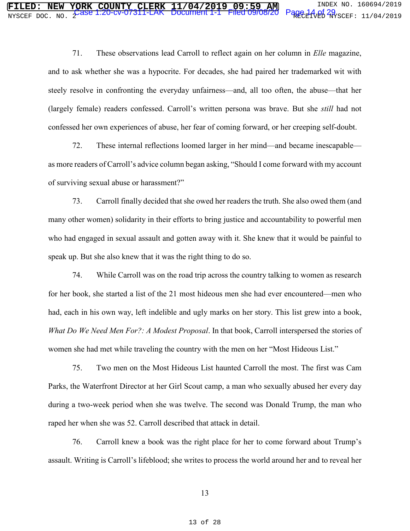71. These observations lead Carroll to reflect again on her column in *Elle* magazine, and to ask whether she was a hypocrite. For decades, she had paired her trademarked wit with steely resolve in confronting the everyday unfairness—and, all too often, the abuse—that her (largely female) readers confessed. Carroll's written persona was brave. But she *still* had not confessed her own experiences of abuse, her fear of coming forward, or her creeping self-doubt.

72. These internal reflections loomed larger in her mind—and became inescapable as more readers of Carroll's advice column began asking, "Should I come forward with my account of surviving sexual abuse or harassment?"

73. Carroll finally decided that she owed her readers the truth. She also owed them (and many other women) solidarity in their efforts to bring justice and accountability to powerful men who had engaged in sexual assault and gotten away with it. She knew that it would be painful to speak up. But she also knew that it was the right thing to do so.

74. While Carroll was on the road trip across the country talking to women as research for her book, she started a list of the 21 most hideous men she had ever encountered—men who had, each in his own way, left indelible and ugly marks on her story. This list grew into a book, *What Do We Need Men For?: A Modest Proposal*. In that book, Carroll interspersed the stories of women she had met while traveling the country with the men on her "Most Hideous List."

75. Two men on the Most Hideous List haunted Carroll the most. The first was Cam Parks, the Waterfront Director at her Girl Scout camp, a man who sexually abused her every day during a two-week period when she was twelve. The second was Donald Trump, the man who raped her when she was 52. Carroll described that attack in detail.

76. Carroll knew a book was the right place for her to come forward about Trump's assault. Writing is Carroll's lifeblood; she writes to process the world around her and to reveal her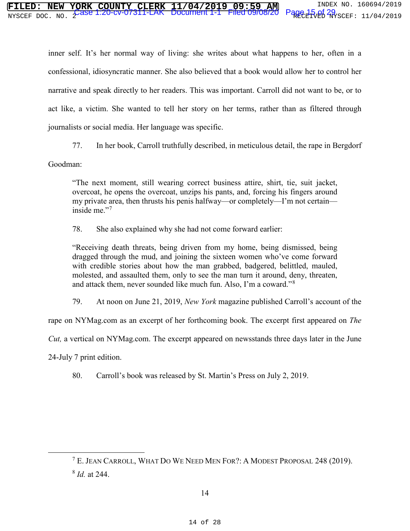# **FORK COUNTY CLERK 11/04/2019 09:59 AM** INDEX NO. 160694/2019<br>Case 1.20-CV-07311-LAK Document 1-1 Filed 09/08/20 Page 15.of 29 NYSCEF DOC. NO. 2 RECEIVED NYSCEF: 11/04/2019 Case 1:20-cv-07311-LAK Document 1-1 Filed 09/08/20 Page 15 of 29

inner self. It's her normal way of living: she writes about what happens to her, often in a confessional, idiosyncratic manner. She also believed that a book would allow her to control her narrative and speak directly to her readers. This was important. Carroll did not want to be, or to act like, a victim. She wanted to tell her story on her terms, rather than as filtered through journalists or social media. Her language was specific.

77. In her book, Carroll truthfully described, in meticulous detail, the rape in Bergdorf

Goodman:

"The next moment, still wearing correct business attire, shirt, tie, suit jacket, overcoat, he opens the overcoat, unzips his pants, and, forcing his fingers around my private area, then thrusts his penis halfway—or completely—I'm not certain inside me."<sup>7</sup>

78. She also explained why she had not come forward earlier:

"Receiving death threats, being driven from my home, being dismissed, being dragged through the mud, and joining the sixteen women who've come forward with credible stories about how the man grabbed, badgered, belittled, mauled, molested, and assaulted them, only to see the man turn it around, deny, threaten, and attack them, never sounded like much fun. Also, I'm a coward."<sup>8</sup>

79. At noon on June 21, 2019, *New York* magazine published Carroll's account of the

rape on NYMag.com as an excerpt of her forthcoming book. The excerpt first appeared on *The* 

*Cut,* a vertical on NYMag.com. The excerpt appeared on newsstands three days later in the June

24-July 7 print edition.

80. Carroll's book was released by St. Martin's Press on July 2, 2019.

 <sup>7</sup> E. JEAN CARROLL, WHAT DO WE NEED MEN FOR?: <sup>A</sup> MODEST PROPOSAL 248 (2019). <sup>8</sup> *Id.* at 244.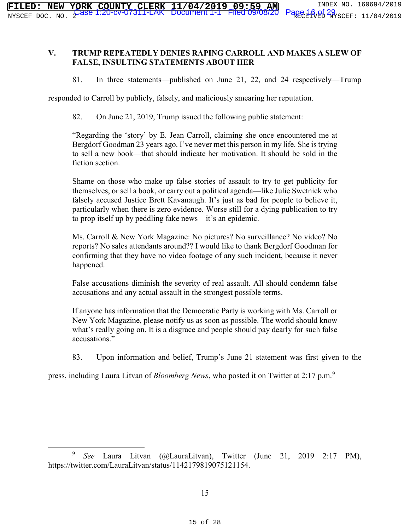# **V. TRUMP REPEATEDLY DENIES RAPING CARROLL AND MAKES A SLEW OF FALSE, INSULTING STATEMENTS ABOUT HER**

81. In three statements—published on June 21, 22, and 24 respectively—Trump

responded to Carroll by publicly, falsely, and maliciously smearing her reputation.

82. On June 21, 2019, Trump issued the following public statement:

"Regarding the 'story' by E. Jean Carroll, claiming she once encountered me at Bergdorf Goodman 23 years ago. I've never met this person in my life. She is trying to sell a new book—that should indicate her motivation. It should be sold in the fiction section.

Shame on those who make up false stories of assault to try to get publicity for themselves, or sell a book, or carry out a political agenda—like Julie Swetnick who falsely accused Justice Brett Kavanaugh. It's just as bad for people to believe it, particularly when there is zero evidence. Worse still for a dying publication to try to prop itself up by peddling fake news—it's an epidemic.

Ms. Carroll & New York Magazine: No pictures? No surveillance? No video? No reports? No sales attendants around?? I would like to thank Bergdorf Goodman for confirming that they have no video footage of any such incident, because it never happened.

False accusations diminish the severity of real assault. All should condemn false accusations and any actual assault in the strongest possible terms.

If anyone has information that the Democratic Party is working with Ms. Carroll or New York Magazine, please notify us as soon as possible. The world should know what's really going on. It is a disgrace and people should pay dearly for such false accusations."

83. Upon information and belief, Trump's June 21 statement was first given to the

press, including Laura Litvan of *Bloomberg News*, who posted it on Twitter at 2:17 p.m.<sup>9</sup>

 <sup>9</sup> *See* Laura Litvan (@LauraLitvan), Twitter (June 21, 2019 2:17 PM), https://twitter.com/LauraLitvan/status/1142179819075121154.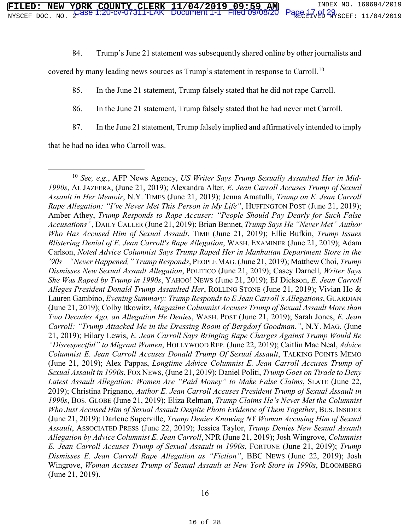84. Trump's June 21 statement was subsequently shared online by other journalists and

covered by many leading news sources as Trump's statement in response to Carroll.<sup>10</sup>

85. In the June 21 statement, Trump falsely stated that he did not rape Carroll.

86. In the June 21 statement, Trump falsely stated that he had never met Carroll.

87. In the June 21 statement, Trump falsely implied and affirmatively intended to imply

that he had no idea who Carroll was.

 <sup>10</sup> *See, e.g.*, AFP News Agency, *US Writer Says Trump Sexually Assaulted Her in Mid-1990s*, AL JAZEERA, (June 21, 2019); Alexandra Alter, *E. Jean Carroll Accuses Trump of Sexual Assault in Her Memoir*, N.Y. TIMES (June 21, 2019); Jenna Amatulli, *Trump on E. Jean Carroll Rape Allegation: "I've Never Met This Person in My Life"*, HUFFINGTON POST (June 21, 2019); Amber Athey, *Trump Responds to Rape Accuser: "People Should Pay Dearly for Such False Accusations"*, DAILY CALLER (June 21, 2019); Brian Bennet, *Trump Says He "Never Met" Author Who Has Accused Him of Sexual Assault*, TIME (June 21, 2019); Ellie Bufkin, *Trump Issues Blistering Denial of E. Jean Carroll's Rape Allegation*, WASH. EXAMINER (June 21, 2019); Adam Carlson, *Noted Advice Columnist Says Trump Raped Her in Manhattan Department Store in the '90s—"Never Happened," Trump Responds*, PEOPLE MAG. (June 21, 2019); Matthew Choi, *Trump Dismisses New Sexual Assault Allegation*, POLITICO (June 21, 2019); Casey Darnell, *Writer Says She Was Raped by Trump in 1990s*, YAHOO! NEWS (June 21, 2019); EJ Dickson, *E. Jean Carroll Alleges President Donald Trump Assaulted Her*, ROLLING STONE (June 21, 2019); Vivian Ho & Lauren Gambino, *Evening Summary: Trump Responds to E Jean Carroll's Allegations*, GUARDIAN (June 21, 2019); Colby Itkowitz, *Magazine Columnist Accuses Trump of Sexual Assault More than Two Decades Ago, an Allegation He Denies*, WASH. POST (June 21, 2019); Sarah Jones, *E. Jean Carroll: "Trump Attacked Me in the Dressing Room of Bergdorf Goodman."*, N.Y. MAG. (June 21, 2019); Hilary Lewis, *E. Jean Carroll Says Bringing Rape Charges Against Trump Would Be "Disrespectful" to Migrant Women*, HOLLYWOOD REP. (June 22, 2019); Caitlin Mac Neal, *Advice Columnist E. Jean Carroll Accuses Donald Trump Of Sexual Assault*, TALKING POINTS MEMO (June 21, 2019); Alex Pappas, *Longtime Advice Columnist E. Jean Carroll Accuses Trump of Sexual Assault in 1990s*, FOX NEWS, (June 21, 2019); Daniel Politi, *Trump Goes on Tirade to Deny Latest Assault Allegation: Women Are "Paid Money" to Make False Claims*, SLATE (June 22, 2019); Christina Prignano, *Author E. Jean Carroll Accuses President Trump of Sexual Assault in 1990s*, BOS. GLOBE (June 21, 2019); Eliza Relman, *Trump Claims He's Never Met the Columnist Who Just Accused Him of Sexual Assault Despite Photo Evidence of Them Together*, BUS. INSIDER (June 21, 2019); Darlene Superville, *Trump Denies Knowing NY Woman Accusing Him of Sexual Assault*, ASSOCIATED PRESS (June 22, 2019); Jessica Taylor, *Trump Denies New Sexual Assault Allegation by Advice Columnist E. Jean Carroll*, NPR (June 21, 2019); Josh Wingrove, *Columnist E. Jean Carroll Accuses Trump of Sexual Assault in 1990s*, FORTUNE (June 21, 2019); *Trump Dismisses E. Jean Carroll Rape Allegation as "Fiction"*, BBC NEWS (June 22, 2019); Josh Wingrove, *Woman Accuses Trump of Sexual Assault at New York Store in 1990s*, BLOOMBERG (June 21, 2019).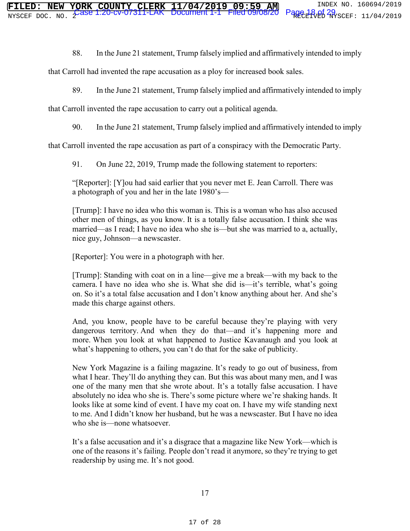88. In the June 21 statement, Trump falsely implied and affirmatively intended to imply

that Carroll had invented the rape accusation as a ploy for increased book sales.

89. In the June 21 statement, Trump falsely implied and affirmatively intended to imply

that Carroll invented the rape accusation to carry out a political agenda.

90. In the June 21 statement, Trump falsely implied and affirmatively intended to imply

that Carroll invented the rape accusation as part of a conspiracy with the Democratic Party.

91. On June 22, 2019, Trump made the following statement to reporters:

"[Reporter]: [Y]ou had said earlier that you never met E. Jean Carroll. There was a photograph of you and her in the late 1980's—

[Trump]: I have no idea who this woman is. This is a woman who has also accused other men of things, as you know. It is a totally false accusation. I think she was married—as I read; I have no idea who she is—but she was married to a, actually, nice guy, Johnson—a newscaster.

[Reporter]: You were in a photograph with her.

[Trump]: Standing with coat on in a line—give me a break—with my back to the camera. I have no idea who she is. What she did is—it's terrible, what's going on. So it's a total false accusation and I don't know anything about her. And she's made this charge against others.

And, you know, people have to be careful because they're playing with very dangerous territory. And when they do that—and it's happening more and more. When you look at what happened to Justice Kavanaugh and you look at what's happening to others, you can't do that for the sake of publicity.

New York Magazine is a failing magazine. It's ready to go out of business, from what I hear. They'll do anything they can. But this was about many men, and I was one of the many men that she wrote about. It's a totally false accusation. I have absolutely no idea who she is. There's some picture where we're shaking hands. It looks like at some kind of event. I have my coat on. I have my wife standing next to me. And I didn't know her husband, but he was a newscaster. But I have no idea who she is—none whatsoever.

It's a false accusation and it's a disgrace that a magazine like New York—which is one of the reasons it's failing. People don't read it anymore, so they're trying to get readership by using me. It's not good.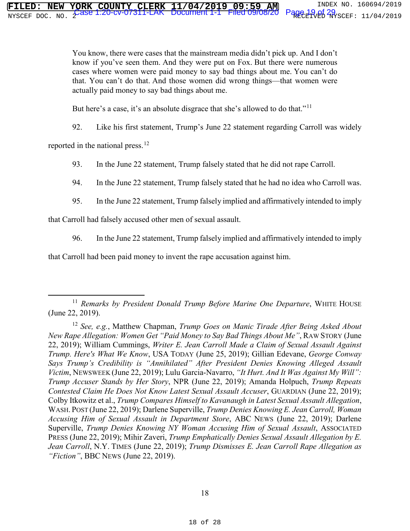You know, there were cases that the mainstream media didn't pick up. And I don't know if you've seen them. And they were put on Fox. But there were numerous cases where women were paid money to say bad things about me. You can't do that. You can't do that. And those women did wrong things—that women were actually paid money to say bad things about me.

But here's a case, it's an absolute disgrace that she's allowed to do that."<sup>11</sup>

92. Like his first statement, Trump's June 22 statement regarding Carroll was widely

reported in the national press.<sup>12</sup>

93. In the June 22 statement, Trump falsely stated that he did not rape Carroll.

94. In the June 22 statement, Trump falsely stated that he had no idea who Carroll was.

95. In the June 22 statement, Trump falsely implied and affirmatively intended to imply

that Carroll had falsely accused other men of sexual assault.

96. In the June 22 statement, Trump falsely implied and affirmatively intended to imply

that Carroll had been paid money to invent the rape accusation against him.

<sup>&</sup>lt;sup>11</sup> *Remarks by President Donald Trump Before Marine One Departure*, WHITE HOUSE (June 22, 2019).

<sup>12</sup> *See, e.g.*, Matthew Chapman, *Trump Goes on Manic Tirade After Being Asked About New Rape Allegation: Women Get "Paid Money to Say Bad Things About Me"*, RAW STORY (June 22, 2019); William Cummings, *Writer E. Jean Carroll Made a Claim of Sexual Assault Against Trump. Here's What We Know*, USA TODAY (June 25, 2019); Gillian Edevane, *George Conway Says Trump's Credibility is "Annihilated" After President Denies Knowing Alleged Assault Victim*, NEWSWEEK (June 22, 2019); Lulu Garcia-Navarro, *"It Hurt. And It Was Against My Will": Trump Accuser Stands by Her Story*, NPR (June 22, 2019); Amanda Holpuch, *Trump Repeats Contested Claim He Does Not Know Latest Sexual Assault Accuser*, GUARDIAN (June 22, 2019); Colby Itkowitz et al., *Trump Compares Himself to Kavanaugh in Latest Sexual Assault Allegation*, WASH. POST (June 22, 2019); Darlene Superville, *Trump Denies Knowing E. Jean Carroll, Woman Accusing Him of Sexual Assault in Department Store*, ABC NEWS (June 22, 2019); Darlene Superville, *Trump Denies Knowing NY Woman Accusing Him of Sexual Assault*, ASSOCIATED PRESS (June 22, 2019); Mihir Zaveri, *Trump Emphatically Denies Sexual Assault Allegation by E. Jean Carroll*, N.Y. TIMES (June 22, 2019); *Trump Dismisses E. Jean Carroll Rape Allegation as "Fiction"*, BBC NEWS (June 22, 2019).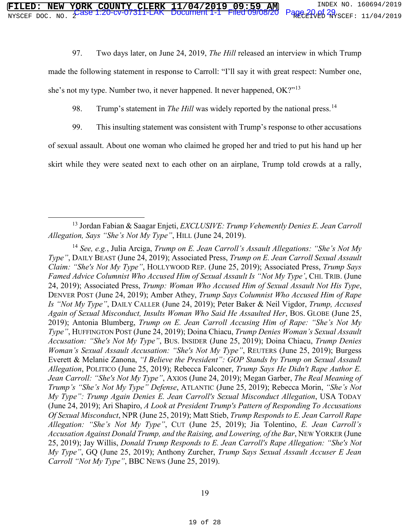97. Two days later, on June 24, 2019, *The Hill* released an interview in which Trump

made the following statement in response to Carroll: "I'll say it with great respect: Number one,

she's not my type. Number two, it never happened. It never happened, OK?"13

98. Trump's statement in *The Hill* was widely reported by the national press.<sup>14</sup>

99. This insulting statement was consistent with Trump's response to other accusations

of sexual assault. About one woman who claimed he groped her and tried to put his hand up her

skirt while they were seated next to each other on an airplane, Trump told crowds at a rally,

 <sup>13</sup> Jordan Fabian & Saagar Enjeti, *EXCLUSIVE: Trump Vehemently Denies E. Jean Carroll Allegation, Says "She's Not My Type"*, HILL (June 24, 2019).

<sup>14</sup> *See, e.g.*, Julia Arciga, *Trump on E. Jean Carroll's Assault Allegations: "She's Not My Type"*, DAILY BEAST (June 24, 2019); Associated Press, *Trump on E. Jean Carroll Sexual Assault Claim: "She's Not My Type"*, HOLLYWOOD REP. (June 25, 2019); Associated Press, *Trump Says Famed Advice Columnist Who Accused Him of Sexual Assault Is "Not My Type'*, CHI. TRIB. (June 24, 2019); Associated Press, *Trump: Woman Who Accused Him of Sexual Assault Not His Type*, DENVER POST (June 24, 2019); Amber Athey, *Trump Says Columnist Who Accused Him of Rape Is "Not My Type"*, DAILY CALLER (June 24, 2019); Peter Baker & Neil Vigdor, *Trump, Accused Again of Sexual Misconduct, Insults Woman Who Said He Assaulted Her*, BOS. GLOBE (June 25, 2019); Antonia Blumberg, *Trump on E. Jean Carroll Accusing Him of Rape: "She's Not My Type"*, HUFFINGTON POST (June 24, 2019); Doina Chiacu, *Trump Denies Woman's Sexual Assault Accusation: "She's Not My Type"*, BUS. INSIDER (June 25, 2019); Doina Chiacu, *Trump Denies Woman's Sexual Assault Accusation: "She's Not My Type"*, REUTERS (June 25, 2019); Burgess Everett & Melanie Zanona, *"I Believe the President": GOP Stands by Trump on Sexual Assault Allegation*, POLITICO (June 25, 2019); Rebecca Falconer, *Trump Says He Didn't Rape Author E. Jean Carroll: "She's Not My Type"*, AXIOS (June 24, 2019); Megan Garber, *The Real Meaning of Trump's "She's Not My Type" Defense*, ATLANTIC (June 25, 2019); Rebecca Morin, *"She's Not My Type": Trump Again Denies E. Jean Carroll's Sexual Misconduct Allegation*, USA TODAY (June 24, 2019); Ari Shapiro, *A Look at President Trump's Pattern of Responding To Accusations Of Sexual Misconduct*, NPR (June 25, 2019); Matt Stieb, *Trump Responds to E. Jean Carroll Rape Allegation: "She's Not My Type"*, CUT (June 25, 2019); Jia Tolentino, *E. Jean Carroll's Accusation Against Donald Trump, and the Raising, and Lowering, of the Bar*, NEW YORKER (June 25, 2019); Jay Willis, *Donald Trump Responds to E. Jean Carroll's Rape Allegation: "She's Not My Type"*, GQ (June 25, 2019); Anthony Zurcher, *Trump Says Sexual Assault Accuser E Jean Carroll "Not My Type"*, BBC NEWS (June 25, 2019).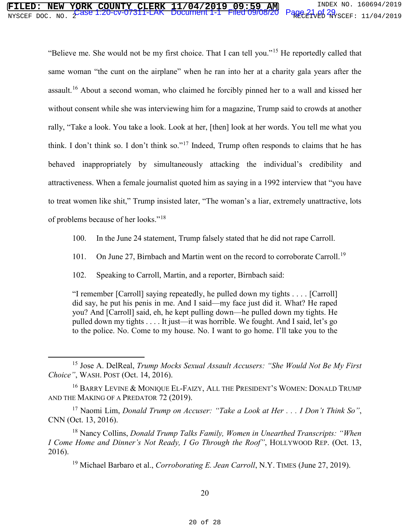# **FILED: NEW YORK COUNTY CLERK 11/04/2019 09:59 AM** INDEX NO. 160694/2019 NYSCEF DOC. NO. 2 RECEIVED NYSCEF: 11/04/2019 Case 1:20-cv-07311-LAK Document 1-1 Filed 09/08/20 Page 21 of 29

"Believe me. She would not be my first choice. That I can tell you."<sup>15</sup> He reportedly called that same woman "the cunt on the airplane" when he ran into her at a charity gala years after the assault.<sup>16</sup> About a second woman, who claimed he forcibly pinned her to a wall and kissed her without consent while she was interviewing him for a magazine, Trump said to crowds at another rally, "Take a look. You take a look. Look at her, [then] look at her words. You tell me what you think. I don't think so. I don't think so."17 Indeed, Trump often responds to claims that he has behaved inappropriately by simultaneously attacking the individual's credibility and attractiveness. When a female journalist quoted him as saying in a 1992 interview that "you have to treat women like shit," Trump insisted later, "The woman's a liar, extremely unattractive, lots of problems because of her looks."<sup>18</sup>

- 100. In the June 24 statement, Trump falsely stated that he did not rape Carroll.
- 101. On June 27, Birnbach and Martin went on the record to corroborate Carroll.<sup>19</sup>
- 102. Speaking to Carroll, Martin, and a reporter, Birnbach said:

"I remember [Carroll] saying repeatedly, he pulled down my tights . . . . [Carroll] did say, he put his penis in me. And I said—my face just did it. What? He raped you? And [Carroll] said, eh, he kept pulling down—he pulled down my tights. He pulled down my tights . . . . It just—it was horrible. We fought. And I said, let's go to the police. No. Come to my house. No. I want to go home. I'll take you to the

 <sup>15</sup> Jose A. DelReal, *Trump Mocks Sexual Assault Accusers: "She Would Not Be My First Choice"*, WASH. POST (Oct. 14, 2016).

<sup>&</sup>lt;sup>16</sup> BARRY LEVINE & MONIQUE EL-FAIZY, ALL THE PRESIDENT'S WOMEN: DONALD TRUMP AND THE MAKING OF A PREDATOR 72 (2019).

<sup>17</sup> Naomi Lim, *Donald Trump on Accuser: "Take a Look at Her . . . I Don't Think So"*, CNN (Oct. 13, 2016).

<sup>18</sup> Nancy Collins, *Donald Trump Talks Family, Women in Unearthed Transcripts: "When I Come Home and Dinner's Not Ready, I Go Through the Roof"*, HOLLYWOOD REP. (Oct. 13, 2016).

<sup>&</sup>lt;sup>19</sup> Michael Barbaro et al., *Corroborating E. Jean Carroll*, N.Y. TIMES (June 27, 2019).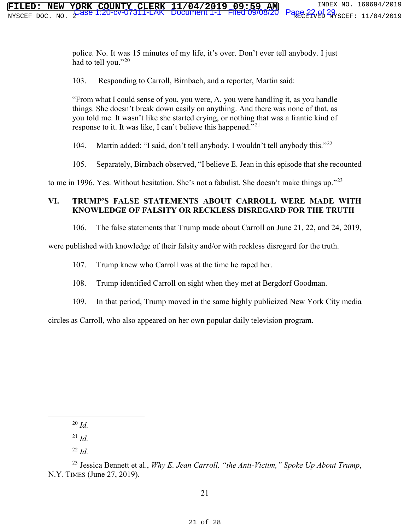police. No. It was 15 minutes of my life, it's over. Don't ever tell anybody. I just had to tell you."<sup>20</sup>

103. Responding to Carroll, Birnbach, and a reporter, Martin said:

"From what I could sense of you, you were, A, you were handling it, as you handle things. She doesn't break down easily on anything. And there was none of that, as you told me. It wasn't like she started crying, or nothing that was a frantic kind of response to it. It was like, I can't believe this happened."<sup>21</sup>

104. Martin added: "I said, don't tell anybody. I wouldn't tell anybody this."<sup>22</sup>

105. Separately, Birnbach observed, "I believe E. Jean in this episode that she recounted

to me in 1996. Yes. Without hesitation. She's not a fabulist. She doesn't make things up."<sup>23</sup>

# **VI. TRUMP'S FALSE STATEMENTS ABOUT CARROLL WERE MADE WITH KNOWLEDGE OF FALSITY OR RECKLESS DISREGARD FOR THE TRUTH**

106. The false statements that Trump made about Carroll on June 21, 22, and 24, 2019,

were published with knowledge of their falsity and/or with reckless disregard for the truth.

107. Trump knew who Carroll was at the time he raped her.

108. Trump identified Carroll on sight when they met at Bergdorf Goodman.

109. In that period, Trump moved in the same highly publicized New York City media

circles as Carroll, who also appeared on her own popular daily television program.

20 *Id.*

 $^{21}$  *Id.* 

<sup>22</sup> *Id.*

<sup>23</sup> Jessica Bennett et al., *Why E. Jean Carroll, "the Anti-Victim," Spoke Up About Trump*, N.Y. TIMES (June 27, 2019).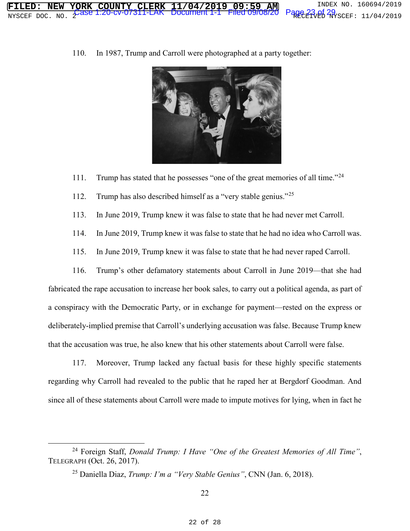

110. In 1987, Trump and Carroll were photographed at a party together:

- 111. Trump has stated that he possesses "one of the great memories of all time."<sup>24</sup>
- 112. Trump has also described himself as a "very stable genius."<sup>25</sup>
- 113. In June 2019, Trump knew it was false to state that he had never met Carroll.
- 114. In June 2019, Trump knew it was false to state that he had no idea who Carroll was.
- 115. In June 2019, Trump knew it was false to state that he had never raped Carroll.

116. Trump's other defamatory statements about Carroll in June 2019—that she had fabricated the rape accusation to increase her book sales, to carry out a political agenda, as part of a conspiracy with the Democratic Party, or in exchange for payment—rested on the express or deliberately-implied premise that Carroll's underlying accusation was false. Because Trump knew that the accusation was true, he also knew that his other statements about Carroll were false.

117. Moreover, Trump lacked any factual basis for these highly specific statements regarding why Carroll had revealed to the public that he raped her at Bergdorf Goodman. And since all of these statements about Carroll were made to impute motives for lying, when in fact he

 <sup>24</sup> Foreign Staff, *Donald Trump: I Have "One of the Greatest Memories of All Time"*, TELEGRAPH (Oct. 26, 2017).

<sup>25</sup> Daniella Diaz, *Trump: I'm a "Very Stable Genius"*, CNN (Jan. 6, 2018).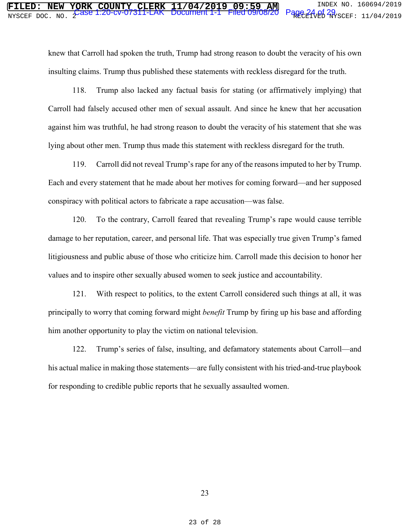knew that Carroll had spoken the truth, Trump had strong reason to doubt the veracity of his own insulting claims. Trump thus published these statements with reckless disregard for the truth.

118. Trump also lacked any factual basis for stating (or affirmatively implying) that Carroll had falsely accused other men of sexual assault. And since he knew that her accusation against him was truthful, he had strong reason to doubt the veracity of his statement that she was lying about other men. Trump thus made this statement with reckless disregard for the truth.

119. Carroll did not reveal Trump's rape for any of the reasons imputed to her by Trump. Each and every statement that he made about her motives for coming forward—and her supposed conspiracy with political actors to fabricate a rape accusation—was false.

120. To the contrary, Carroll feared that revealing Trump's rape would cause terrible damage to her reputation, career, and personal life. That was especially true given Trump's famed litigiousness and public abuse of those who criticize him. Carroll made this decision to honor her values and to inspire other sexually abused women to seek justice and accountability.

121. With respect to politics, to the extent Carroll considered such things at all, it was principally to worry that coming forward might *benefit* Trump by firing up his base and affording him another opportunity to play the victim on national television.

122. Trump's series of false, insulting, and defamatory statements about Carroll—and his actual malice in making those statements—are fully consistent with his tried-and-true playbook for responding to credible public reports that he sexually assaulted women.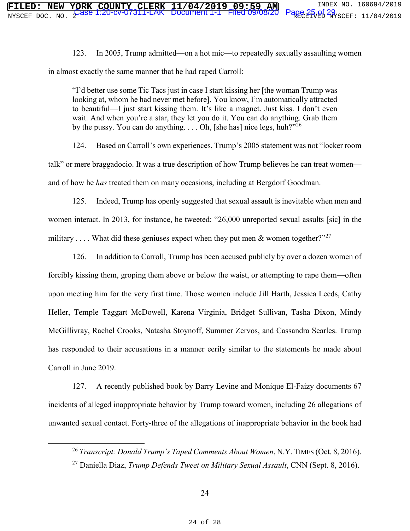123. In 2005, Trump admitted—on a hot mic—to repeatedly sexually assaulting women in almost exactly the same manner that he had raped Carroll:

"I'd better use some Tic Tacs just in case I start kissing her [the woman Trump was looking at, whom he had never met before]. You know, I'm automatically attracted to beautiful—I just start kissing them. It's like a magnet. Just kiss. I don't even wait. And when you're a star, they let you do it. You can do anything. Grab them by the pussy. You can do anything.  $\dots$  Oh, [she has] nice legs, huh?"<sup>26</sup>

124. Based on Carroll's own experiences, Trump's 2005 statement was not "locker room talk" or mere braggadocio. It was a true description of how Trump believes he can treat women and of how he *has* treated them on many occasions, including at Bergdorf Goodman.

125. Indeed, Trump has openly suggested that sexual assault is inevitable when men and women interact. In 2013, for instance, he tweeted: "26,000 unreported sexual assults [sic] in the military .... What did these geniuses expect when they put men & women together?"<sup>27</sup>

126. In addition to Carroll, Trump has been accused publicly by over a dozen women of forcibly kissing them, groping them above or below the waist, or attempting to rape them—often upon meeting him for the very first time. Those women include Jill Harth, Jessica Leeds, Cathy Heller, Temple Taggart McDowell, Karena Virginia, Bridget Sullivan, Tasha Dixon, Mindy McGillivray, Rachel Crooks, Natasha Stoynoff, Summer Zervos, and Cassandra Searles. Trump has responded to their accusations in a manner eerily similar to the statements he made about Carroll in June 2019.

127. A recently published book by Barry Levine and Monique El-Faizy documents 67 incidents of alleged inappropriate behavior by Trump toward women, including 26 allegations of unwanted sexual contact. Forty-three of the allegations of inappropriate behavior in the book had

 <sup>26</sup> *Transcript: Donald Trump's Taped Comments About Women*, N.Y.TIMES (Oct. 8, 2016).

<sup>27</sup> Daniella Diaz, *Trump Defends Tweet on Military Sexual Assault*, CNN (Sept. 8, 2016).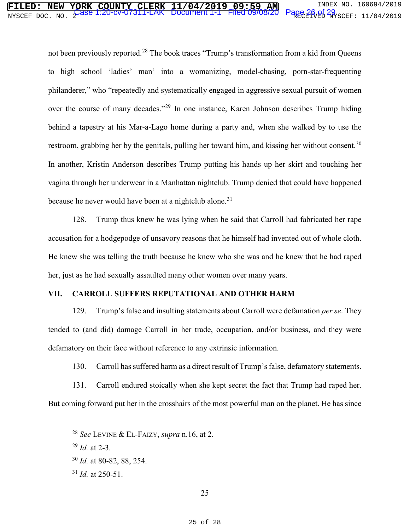# NYSCEF DOC. NO. 2 RECEIVED NYSCEF: 11/04/2019 Case 1:20-cv-07311-LAK Document 1-1 Filed 09/08/20 Page 26 of 29

not been previously reported.<sup>28</sup> The book traces "Trump's transformation from a kid from Queens to high school 'ladies' man' into a womanizing, model-chasing, porn-star-frequenting philanderer," who "repeatedly and systematically engaged in aggressive sexual pursuit of women over the course of many decades."<sup>29</sup> In one instance, Karen Johnson describes Trump hiding behind a tapestry at his Mar-a-Lago home during a party and, when she walked by to use the restroom, grabbing her by the genitals, pulling her toward him, and kissing her without consent.<sup>30</sup> In another, Kristin Anderson describes Trump putting his hands up her skirt and touching her vagina through her underwear in a Manhattan nightclub. Trump denied that could have happened because he never would have been at a nightclub alone.<sup>31</sup>

128. Trump thus knew he was lying when he said that Carroll had fabricated her rape accusation for a hodgepodge of unsavory reasons that he himself had invented out of whole cloth. He knew she was telling the truth because he knew who she was and he knew that he had raped her, just as he had sexually assaulted many other women over many years.

#### **VII. CARROLL SUFFERS REPUTATIONAL AND OTHER HARM**

129. Trump's false and insulting statements about Carroll were defamation *per se*. They tended to (and did) damage Carroll in her trade, occupation, and/or business, and they were defamatory on their face without reference to any extrinsic information.

130. Carroll has suffered harm as a direct result of Trump's false, defamatory statements.

131. Carroll endured stoically when she kept secret the fact that Trump had raped her. But coming forward put her in the crosshairs of the most powerful man on the planet. He has since

<sup>31</sup> *Id.* at 250-51.

 <sup>28</sup> *See* LEVINE & EL-FAIZY, *supra* n.16, at 2.

<sup>29</sup> *Id.* at 2-3.

<sup>30</sup> *Id.* at 80-82, 88, 254.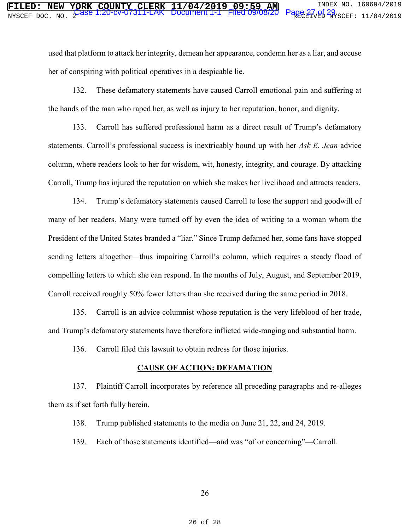used that platform to attack her integrity, demean her appearance, condemn her as a liar, and accuse her of conspiring with political operatives in a despicable lie.

132. These defamatory statements have caused Carroll emotional pain and suffering at the hands of the man who raped her, as well as injury to her reputation, honor, and dignity.

133. Carroll has suffered professional harm as a direct result of Trump's defamatory statements. Carroll's professional success is inextricably bound up with her *Ask E. Jean* advice column, where readers look to her for wisdom, wit, honesty, integrity, and courage. By attacking Carroll, Trump has injured the reputation on which she makes her livelihood and attracts readers.

134. Trump's defamatory statements caused Carroll to lose the support and goodwill of many of her readers. Many were turned off by even the idea of writing to a woman whom the President of the United States branded a "liar." Since Trump defamed her, some fans have stopped sending letters altogether—thus impairing Carroll's column, which requires a steady flood of compelling letters to which she can respond. In the months of July, August, and September 2019, Carroll received roughly 50% fewer letters than she received during the same period in 2018.

135. Carroll is an advice columnist whose reputation is the very lifeblood of her trade, and Trump's defamatory statements have therefore inflicted wide-ranging and substantial harm.

136. Carroll filed this lawsuit to obtain redress for those injuries.

# **CAUSE OF ACTION: DEFAMATION**

137. Plaintiff Carroll incorporates by reference all preceding paragraphs and re-alleges them as if set forth fully herein.

138. Trump published statements to the media on June 21, 22, and 24, 2019.

139. Each of those statements identified—and was "of or concerning"—Carroll.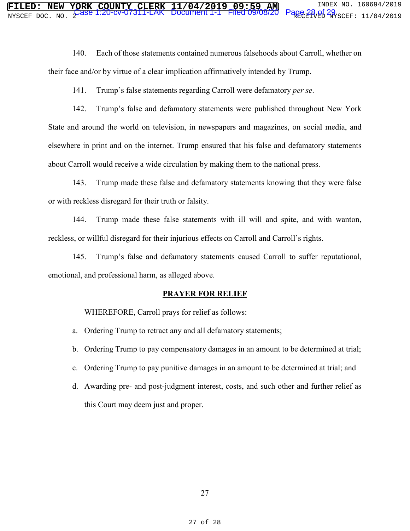140. Each of those statements contained numerous falsehoods about Carroll, whether on their face and/or by virtue of a clear implication affirmatively intended by Trump.

141. Trump's false statements regarding Carroll were defamatory *per se*.

142. Trump's false and defamatory statements were published throughout New York State and around the world on television, in newspapers and magazines, on social media, and elsewhere in print and on the internet. Trump ensured that his false and defamatory statements about Carroll would receive a wide circulation by making them to the national press.

143. Trump made these false and defamatory statements knowing that they were false or with reckless disregard for their truth or falsity.

144. Trump made these false statements with ill will and spite, and with wanton, reckless, or willful disregard for their injurious effects on Carroll and Carroll's rights.

145. Trump's false and defamatory statements caused Carroll to suffer reputational, emotional, and professional harm, as alleged above.

#### **PRAYER FOR RELIEF**

WHEREFORE, Carroll prays for relief as follows:

- a. Ordering Trump to retract any and all defamatory statements;
- b. Ordering Trump to pay compensatory damages in an amount to be determined at trial;
- c. Ordering Trump to pay punitive damages in an amount to be determined at trial; and
- d. Awarding pre- and post-judgment interest, costs, and such other and further relief as this Court may deem just and proper.